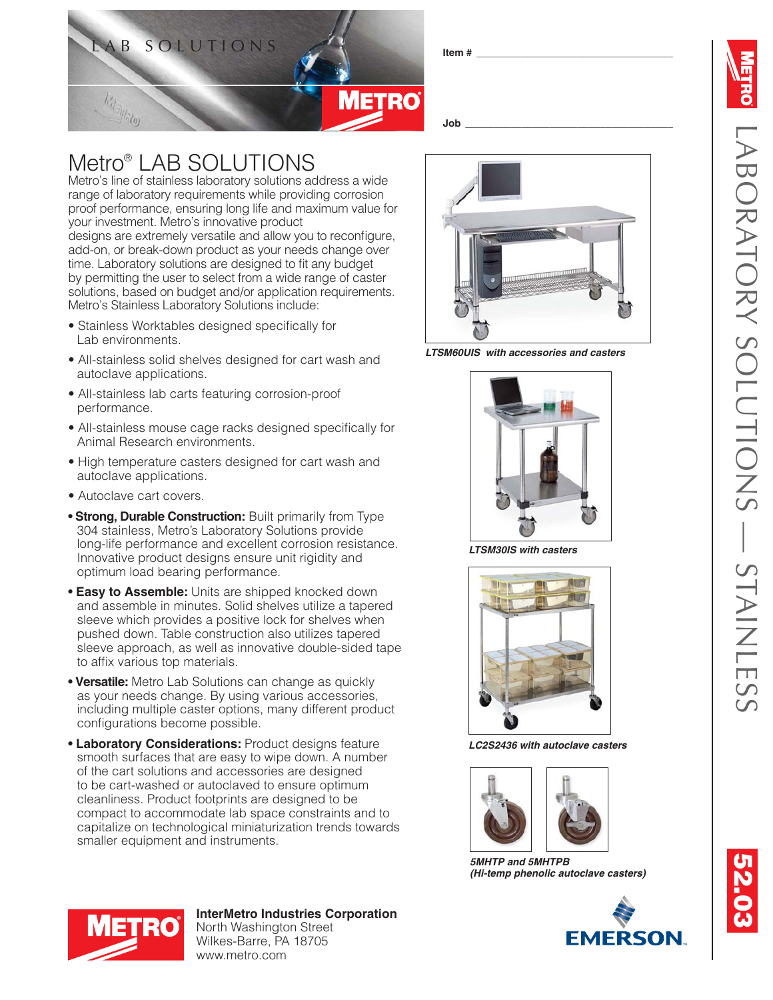

Metro's line of stainless laboratory solutions address a wide range of laboratory requirements while providing corrosion

Metro® LAB SOLUTIONS

## proof performance, ensuring long life and maximum value for your investment. Metro's innovative product designs are extremely versatile and allow you to reconfigure, add-on, or break-down product as your needs change over time. Laboratory solutions are designed to fit any budget by permitting the user to select from a wide range of caster solutions, based on budget and/or application requirements. Metro's Stainless Laboratory Solutions include: • Stainless Worktables designed specifically for • All-stainless solid shelves designed for cart wash and • All-stainless lab carts featuring corrosion-proof • All-stainless mouse cage racks designed specifically for

- High temperature casters designed for cart wash and autoclave applications.
- Autoclave cart covers.

Lab environments.

performance.

autoclave applications.

Animal Research environments.

- **Strong. Durable Construction:** Built primarily from Type 304 stainless, Metro's Laboratory Solutions provide long-life performance and excellent corrosion resistance. Innovative product designs ensure unit rigidity and optimum load bearing performance.
- **Easy to Assemble:** Units are shipped knocked down and assemble in minutes. Solid shelves utilize a tapered sleeve which provides a positive lock for shelves when pushed down. Table construction also utilizes tapered sleeve approach, as well as innovative double-sided tape to affix various top materials.
- **Versatile:** Metro Lab Solutions can change as quickly as your needs change. By using various accessories, including multiple caster options, many different product configurations become possible.
- **Laboratory Considerations:** Product designs feature smooth surfaces that are easy to wipe down. A number of the cart solutions and accessories are designed to be cart-washed or autoclaved to ensure optimum cleanliness. Product footprints are designed to be compact to accommodate lab space constraints and to capitalize on technological miniaturization trends towards smaller equipment and instruments.



*LTSM60UIS with accessories and casters*



*LTSM30IS with casters*



*LC2S2436 with autoclave casters*



*5MHTP and 5MHTPB (Hi-temp phenolic autoclave casters)*





**InterMetro Industries Corporation** North Washington Street Wilkes-Barre, PA 18705 www.metro.com

**52.03 9.01**

**Job \_\_\_\_\_\_\_\_\_\_\_\_\_\_\_\_\_\_\_\_\_\_\_\_\_\_\_\_\_\_\_\_\_\_\_\_\_**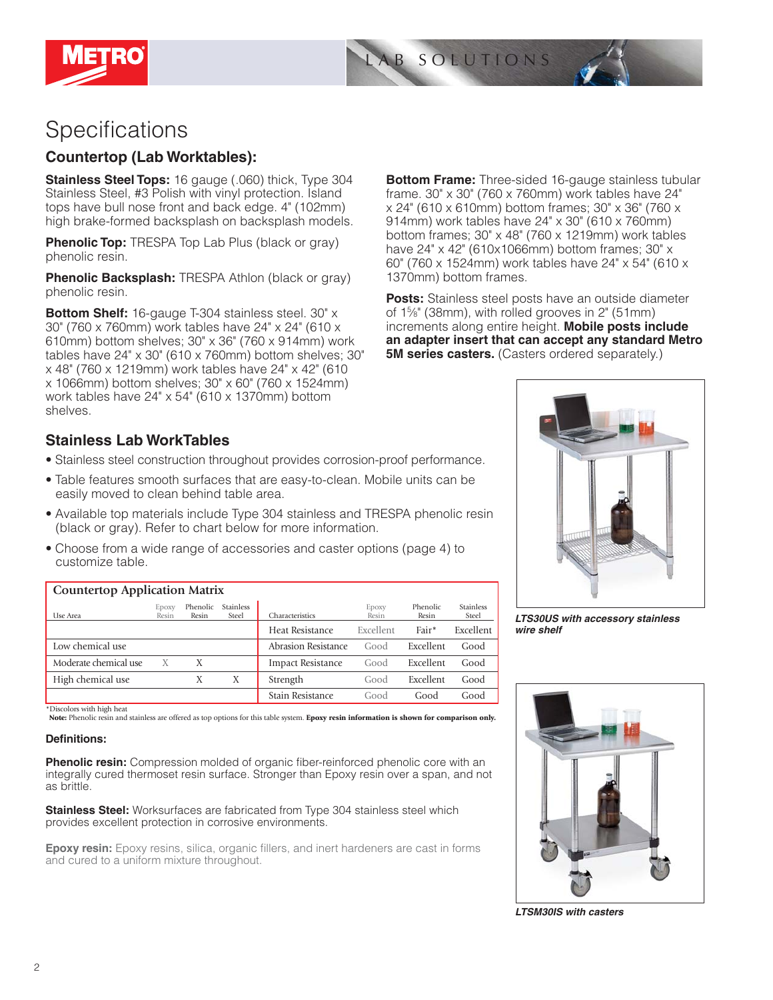



## **Specifications**

## **Countertop (Lab Worktables):**

**Stainless Steel Tops:** 16 gauge (.060) thick, Type 304 Stainless Steel, #3 Polish with vinyl protection. Island tops have bull nose front and back edge. 4" (102mm) high brake-formed backsplash on backsplash models.

**Phenolic Top:** TRESPA Top Lab Plus (black or gray) phenolic resin.

**Phenolic Backsplash:** TRESPA Athlon (black or gray) phenolic resin.

**Bottom Shelf:** 16-gauge T-304 stainless steel. 30" x 30" (760 x 760mm) work tables have 24" x 24" (610 x 610mm) bottom shelves; 30" x 36" (760 x 914mm) work tables have 24" x 30" (610 x 760mm) bottom shelves; 30" x 48" (760 x 1219mm) work tables have 24" x 42" (610 x 1066mm) bottom shelves; 30" x 60" (760 x 1524mm) work tables have 24" x 54" (610 x 1370mm) bottom shelves.

**Bottom Frame:** Three-sided 16-gauge stainless tubular frame. 30" x 30" (760 x 760mm) work tables have 24" x 24" (610 x 610mm) bottom frames; 30" x 36" (760 x 914mm) work tables have 24" x 30" (610 x 760mm) bottom frames; 30" x 48" (760 x 1219mm) work tables have 24" x 42" (610x1066mm) bottom frames; 30" x 60" (760 x 1524mm) work tables have 24" x 54" (610 x 1370mm) bottom frames.

**Posts:** Stainless steel posts have an outside diameter of 15 ⁄8" (38mm), with rolled grooves in 2" (51mm) increments along entire height. **Mobile posts include an adapter insert that can accept any standard Metro 5M series casters.** (Casters ordered separately.)

## **Stainless Lab WorkTables**

- Stainless steel construction throughout provides corrosion-proof performance.
- Table features smooth surfaces that are easy-to-clean. Mobile units can be easily moved to clean behind table area.
- Available top materials include Type 304 stainless and TRESPA phenolic resin (black or gray). Refer to chart below for more information.
- Choose from a wide range of accessories and caster options (page 4) to customize table.

| <b>Countertop Application Matrix</b> |                |                   |                           |                          |                |                   |                           |  |  |
|--------------------------------------|----------------|-------------------|---------------------------|--------------------------|----------------|-------------------|---------------------------|--|--|
| Use Area                             | EDOXV<br>Resin | Phenolic<br>Resin | <b>Stainless</b><br>Steel | Characteristics          | Epoxy<br>Resin | Phenolic<br>Resin | <b>Stainless</b><br>Steel |  |  |
|                                      |                |                   |                           | Heat Resistance          | Excellent      | Fair*             | Excellent                 |  |  |
| Low chemical use                     |                |                   |                           | Abrasion Resistance      | Good           | Excellent         | Good                      |  |  |
| Moderate chemical use                | X              | Χ                 |                           | <b>Impact Resistance</b> | Good           | Excellent         | Good                      |  |  |
| High chemical use                    |                | Х                 | Х                         | Strength                 | Good           | Excellent         | Good                      |  |  |
|                                      |                |                   |                           | Stain Resistance         | Good           | Good              | Good                      |  |  |

\*Discolors with high heat

**Note:** Phenolic resin and stainless are offered as top options for this table system. **Epoxy resin information is shown for comparison only.**

#### Definitions:

**Phenolic resin:** Compression molded of organic fiber-reinforced phenolic core with an integrally cured thermoset resin surface. Stronger than Epoxy resin over a span, and not as brittle.

**Stainless Steel:** Worksurfaces are fabricated from Type 304 stainless steel which provides excellent protection in corrosive environments.

**Epoxy resin:** Epoxy resins, silica, organic fillers, and inert hardeners are cast in forms and cured to a uniform mixture throughout.



*LTS30US with accessory stainless wire shelf*



*LTSM30IS with casters*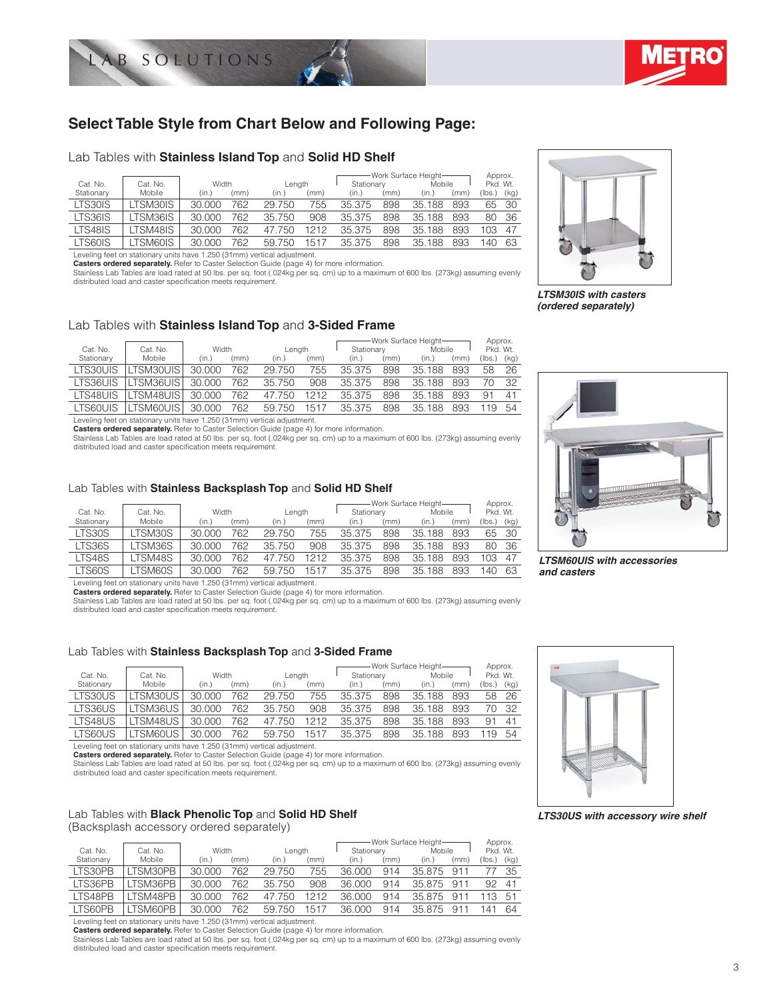



## **Select Table Style from Chart Below and Following Page:**

#### Lab Tables with **Stainless Island Top** and **Solid HD Shelf**

|            |          |        |      |        |      |            |      | Work Surface Height- |      | Approx.  |      |
|------------|----------|--------|------|--------|------|------------|------|----------------------|------|----------|------|
| Cat. No.   | Cat. No. | Width  |      | Length |      | Stationary |      | Mobile               |      | Pkd. Wt. |      |
| Stationary | Mobile   | (in.)  | (mm) | (in.)  | (mm) | (in.)      | (mm) | (in.)                | (mm) | (Ibs.)   | (kg) |
| LTS30IS    | TSM30IS  | 30.000 | 762  | 29.750 | 755  | 35.375     | 898  | 35.188               | 893  | 65       | -30  |
| LTS36IS    | TSM36IS  | 30,000 | 762  | 35.750 | 908  | 35.375     | 898  | 35.188               | 893  | 80       | -36  |
| LTS48IS    | TSM48IS  | 30,000 | 762  | 47.750 | 1212 | 35.375     | 898  | 35.188               | 893  | 103      | 47   |
| LTS60IS    | TSM60IS  | 30.000 | 762  | 59.750 | 1517 | 35.375     | 898  | 35.188               | 893  | 40       | 63   |

Leveling feet on stationary units have 1.250 (31mm) vertical adjustment.

**Casters ordered separately.** Refer to Caster Selection Guide (page 4) for more information.

Stainless Lab Tables are load rated at 50 lbs. per sq. foot (.024kg per sq. cm) up to a maximum of 600 lbs. (273kg) assuming evenly distributed load and caster specification meets requirement.



*LTSM30IS with casters (ordered separately)*

#### Lab Tables with **Stainless Island Top** and **3-Sided Frame**

|            |            |        |      |        |      |            |      | Work Surface Height- |      | Approx.  |      |
|------------|------------|--------|------|--------|------|------------|------|----------------------|------|----------|------|
| Cat. No.   | Cat. No.   | Width  |      | Length |      | Stationary |      | Mobile               |      | Pkd. Wt. |      |
| Stationary | Mobile     | (in.)  | (mm) | (in.)  | (mm) | (in.)      | (mm) | (in.)                | (mm) | (lbs.)   | (kg) |
| LTS30UIS   | TSM30UIS   | 30,000 | 762  | 29.750 | 755  | 35.375     | 898  | 35.188               | 893  | 58       | 26   |
| LTS36UIS   | .TSM36UISI | 30,000 | 762  | 35.750 | 908  | 35.375     | 898  | 35.188               | 893  |          | 32   |
| LTS48UIS   | _TSM48UIS  | 30,000 | 762  | 47.750 | 1212 | 35.375     | 898  | 35.188               | 893  | 91       | 41   |
| LTS60UIS   | TSM60UISI  | 30,000 | 762  | 59.750 | 1517 | 35.375     | 898  | 35.188               | 893  | 119      | 54   |

Leveling feet on stationary units have 1.250 (31mm) vertical adjustment.

**Casters ordered separately.** Refer to Caster Selection Guide (page 4) for more information.<br>Stainless Lab Tables are load rated at 50 lbs. per sq. foot (.024kg per sq. cm) up to a maximum of 600 lbs. (273kg) assuming even distributed load and caster specification meets requirement.

#### Lab Tables with **Stainless Backsplash Top** and **Solid HD Shelf**

|            |          |        |      |        |      |            |      | Work Surface Height- |      | Approx.          |      |
|------------|----------|--------|------|--------|------|------------|------|----------------------|------|------------------|------|
| Cat. No.   | Cat. No. | Width  |      | Lenath |      | Stationary |      | Mobile               |      | Pkd. Wt.         |      |
| Stationary | Mobile   | (in.)  | (mm) | (in.)  | (mm) | (in.)      | (mm) | (in.)                | (mm) | (Ibs.)           | (kq) |
| LTS30S     | LTSM30S  | 30.000 | 762  | 29.750 | 755  | 35.375     | 898  | 35.188               | 893  | 65               | -30  |
| LTS36S     | LTSM36S  | 30.000 | 762  | 35.750 | 908  | 35.375     | 898  | 35.188               | 893  | 80               | -36  |
| LTS48S     | LTSM48S  | 30.000 | 762  | 47.750 | 1212 | 35.375     | 898  | 35.188               | 893  | 103 <sub>1</sub> | 47   |
| LTS60S     | LTSM60S  | 30,000 | 762  | 59.750 | 1517 | 35.375     | 898  | 35.188               | 893  | 140              | 63   |

Leveling feet on stationary units have 1.250 (31mm) vertical adjustment.

**Casters ordered separately.** Refer to Caster Selection Guide (page 4) for more information.

Stainless Lab Tables are load rated at 50 lbs. per sq. foot (.024kg per sq. cm) up to a maximum of 600 lbs. (273kg) assuming evenly distributed load and caster specification meets requirement.

#### Lab Tables with **Stainless Backsplash Top** and **3-Sided Frame**

| Cat. No.   | Cat. No.       | Width  |      | Length |      | Stationary |      | -Work Surface Height-<br>Mobile |      | Approx.<br>Pkd. Wt. |              |
|------------|----------------|--------|------|--------|------|------------|------|---------------------------------|------|---------------------|--------------|
| Stationary | Mobile         | (in.)  | (mm) | (in.)  | (mm) | (in.)      | (mm) | (in.)                           | (mm) | (Ibs.)              | (kg)         |
| LTS30US    | <b>TSM30US</b> | 30,000 | 762  | 29.750 | 755  | 35.375     | 898  | 35.188                          | 893  | 58                  | -26          |
| LTS36US    | TSM36US        | 30.000 | 762  | 35.750 | 908  | 35.375     | 898  | 35.188                          | 893  | 70.                 | - 32         |
| LTS48US    | TSM48US        | 30.000 | 762  | 47.750 | 1212 | 35.375     | 898  | 35.188                          | 893  | 91                  | $4^{\prime}$ |
| LTS60US    | TSM60US        | 30,000 | 762  | 59.750 | 1517 | 35.375     | 898  | 35.188                          | 893  | 19                  | .54          |

Leveling feet on stationary units have 1.250 (31mm) vertical adjustment.

**Casters ordered separately.** Refer to Caster Selection Guide (page 4) for more information.<br>Stainless Lab Tables are load rated at 50 lbs. per sq. foot (.024kg per sq. cm) up to a maximum of 600 lbs. (273kg) assuming even

distributed load and caster specification meets requirement.

## Lab Tables with **Black Phenolic Top** and **Solid HD Shelf**

#### (Backsplash accessory ordered separately)

|            |          |        |      |        |      |            |      | -Work Surface Height- |      | Approx.  |      |
|------------|----------|--------|------|--------|------|------------|------|-----------------------|------|----------|------|
| Cat. No.   | Cat. No. | Width  |      | Length |      | Stationary |      | Mobile                |      | Pkd. Wt. |      |
| Stationary | Mobile   | (in.)  | (mm) | (in.)  | (mm) | (in.)      | (mm) | (in.)                 | (mm) | (lbs.)   | (kg) |
| LTS30PB    | LTSM30PB | 30.000 | 762  | 29.750 | 755  | 36.000     | 914  | 35.875                | 911  |          | 35   |
| LTS36PB    | LTSM36PB | 30.000 | 762  | 35.750 | 908  | 36.000     | 914  | 35 875                | 911  | 92       | 41   |
| LTS48PB    | LTSM48PB | 30.000 | 762  | 47.750 | 1212 | 36.000     | 914  | 35 875                | 911  | 13       | .51  |
| LTS60PB    | LTSM60PB | 30.000 | 762  | 59.750 | 1517 | 36.000     | 914  | 35.875                | 911  | 41       | 64   |

Leveling feet on stationary units have 1.250 (31mm) vertical adjustment.

**Casters ordered separately.** Refer to Caster Selection Guide (page 4) for more information. Stainless Lab Tables are load rated at 50 lbs. per sq. foot (.024kg per sq. cm) up to a maximum of 600 lbs. (273kg) assuming evenly

distributed load and caster specification meets requirement.



*LTSM60UIS with accessories and casters*



*LTS30US with accessory wire shelf*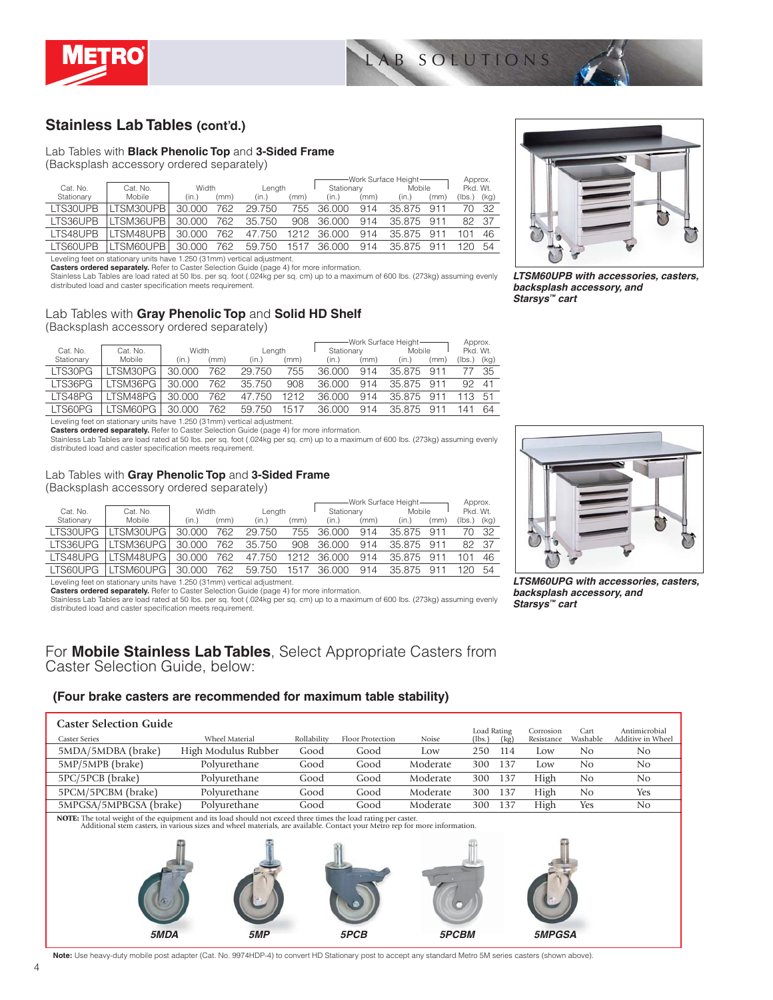



## **Stainless Lab Tables (cont'd.)**

#### Lab Tables with **Black Phenolic Top** and **3-Sided Frame**

(Backsplash accessory ordered separately)

|                 |           |        |      |        |      |            |      | -Work Surface Height- |        | Approx.  |      |
|-----------------|-----------|--------|------|--------|------|------------|------|-----------------------|--------|----------|------|
| Cat. No.        | Cat. No.  | Width  |      | Length |      | Stationary |      | Mobile                |        | Pkd. Wt. |      |
| Stationary      | Mobile    | (in.)  | (mm) | (in.)  | (mm) | (in.)      | (mm) | (in.)                 | (mm'   | (lbs.)   | (kg) |
| <b>ITS30UPB</b> | LTSM30UPB | 30.000 | 762  | 29.750 | 755  | 36,000     | 914  | 35.875                | 911    |          | - 32 |
| I TS36UPB       | LTSM36UPB | 30.000 | 762  | 35.750 | 908  | 36,000     | 914  | 35.875                | 911    | 82 37    |      |
| LTS48UPB        | LTSM48UPB | 30.000 | 762  | 47.750 | 1212 | 36,000     | 914  | 35.875                | $91 -$ |          | 46   |
| I TS60UPB       | LTSM60UPB | 30,000 | 762  | 59.750 | 1517 | 36,000     | 914  | 35 875                | 911    |          | 54   |

Leveling feet on stationary units have 1.250 (31mm) vertical adjustment.

**Casters ordered separately.** Refer to Caster Selection Guide (page 4) for more information.<br>Stainless Lab Tables are load rated at 50 lbs. per sq. foot (.024kg per sq. cm) up to a maximum of 600 lbs. (273kg) assuming even distributed load and caster specification meets requirement.

### Lab Tables with **Gray Phenolic Top** and **Solid HD Shelf**

(Backsplash accessory ordered separately)

|            |          |        |      |        |      |            |      | -Work Surface Height- |      | Approx.  |      |
|------------|----------|--------|------|--------|------|------------|------|-----------------------|------|----------|------|
| Cat. No.   | Cat. No. | Width  |      | Length |      | Stationary |      | Mobile                |      | Pkd. Wt. |      |
| Stationary | Mobile   | (in.)  | (mm) | (in.)  | (mm) | (in.)      | (mm) | (in.)                 | (mm) | (Ibs.)   | (kg) |
| LTS30PG    | TSM30PG  | 30,000 | 762  | 29.750 | 755  | 36.000     | 914  | 35.875                | 911  |          | 35   |
| LTS36PG    | TSM36PG  | 30.000 | 762  | 35.750 | 908  | 36,000     | 914  | 35.875                | 911  | 92       | 41   |
| ITS48PG    | TSM48PG  | 30.000 | 762  | 47.750 | 1212 | 36.000     | 914  | 35.875                | 911  | 13       | 51   |
| LTS60PG    | TSM60PG  | 30.000 | 762  | 59.750 | 1517 | 36.000     | 914  | 35 875                | 911  |          | 64   |

Leveling feet on stationary units have 1.250 (31mm) vertical adjustment.

**Casters ordered separately.** Refer to Caster Selection Guide (page 4) for more information.

Stainless Lab Tables are load rated at 50 lbs. per sq. foot (.024kg per sq. cm) up to a maximum of 600 lbs. (273kg) assuming evenly distributed load and caster specification meets requirement.

#### Lab Tables with **Gray Phenolic Top** and **3-Sided Frame**

(Backsplash accessory ordered separately)

|                 |           |        |      |        |      |            |      | -Work Surface Height- |      | Approx.  |       |
|-----------------|-----------|--------|------|--------|------|------------|------|-----------------------|------|----------|-------|
| Cat. No.        | Cat. No.  | Width  |      | Length |      | Stationary |      | Mobile                |      | Pkd. Wt. |       |
| Stationary      | Mobile    | (in.)  | (mm) | (in.)  | (mm) | (in.)      | (mm) | (in.)                 | (mm) | (lbs.)   | (kg)  |
| LTS30UPG        | LTSM30UPG | 30.000 | 762  | 29.750 | 755  | 36,000     | 914  | 35.875                | 911  |          | 70 32 |
| <b>ITS36UPG</b> | LTSM36UPG | 30.000 | 762  | 35.750 | 908  | 36.000     | 914  | 35.875                | 911  | 82 37    |       |
| I TS48UPG       | LTSM48UPG | 30.000 | 762  | 47.750 | 1212 | 36,000     | 914  | 35.875                | 911  | 101      | 46    |
| LTS60UPG        | LTSM60UPG | 30.000 | 762  | 59.750 | 1517 | 36,000     | 914  | 35.875                | 911  | 12N      | 54    |

Leveling feet on stationary units have 1.250 (31mm) vertical adjustment.

**Casters ordered separately.** Refer to Caster Selection Guide (page 4) for more information.

Stainless Lab Tables are load rated at 50 lbs. per sq. foot (.024kg per sq. cm) up to a maximum of 600 lbs. (273kg) assuming evenly distributed load and caster specification meets requirement.

### For **Mobile Stainless Lab Tables**, Select Appropriate Casters from Caster Selection Guide, below:

#### **(Four brake casters are recommended for maximum table stability)**



**Note:** Use heavy-duty mobile post adapter (Cat. No. 9974HDP-4) to convert HD Stationary post to accept any standard Metro 5M series casters (shown above).



*LTSM60UPB with accessories, casters, backsplash accessory, and Starsys™ cart* 



*LTSM60UPG with accessories, casters, backsplash accessory, and Starsys™ cart*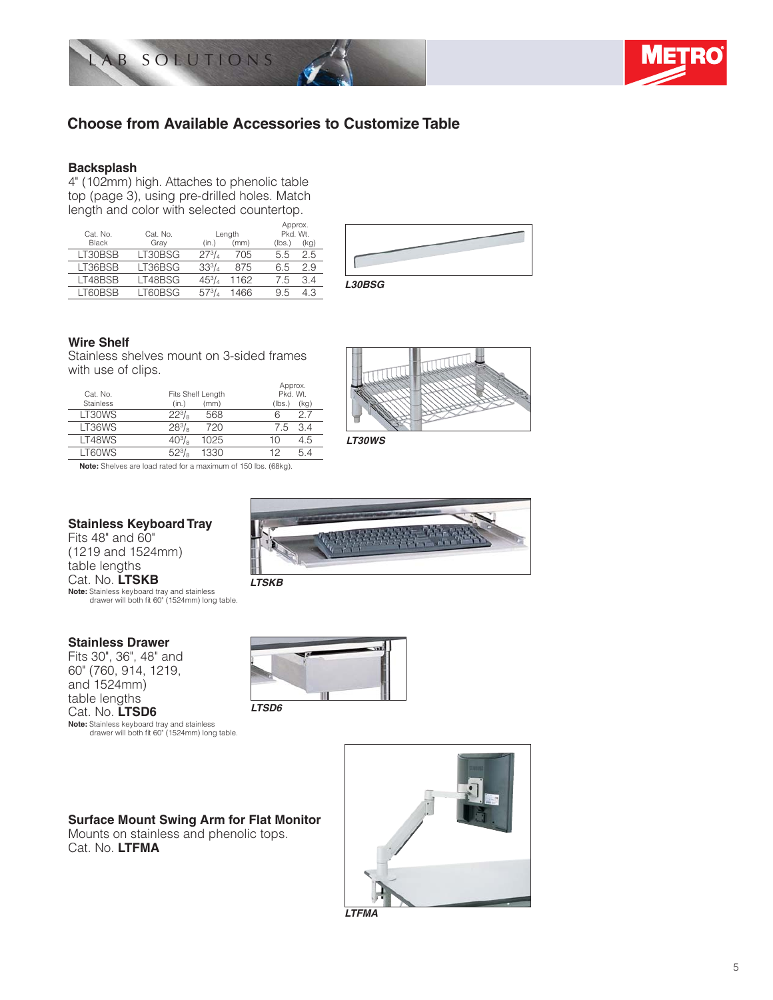



## **Choose from Available Accessories to Customize Table**

#### **Backsplash**

4" (102mm) high. Attaches to phenolic table top (page 3), using pre-drilled holes. Match length and color with selected countertop.

| Cat. No.        | Cat. No. |               | Length | Approx.<br>Pkd. Wt. |      |
|-----------------|----------|---------------|--------|---------------------|------|
| <b>Black</b>    | Gray     | (in.)         | (mm)   | (lbs.)              | (kg) |
| LT30BSB         | LT30BSG  | $27^{3}/_{4}$ | 705    | 5.5                 | 2.5  |
| LT36BSB         | LT36BSG  | $33^{3}/$     | 875    | 65                  | 2.9  |
| LT48BSB         | LT48BSG  | $45^{3}/_{4}$ | 1162   | 7.5                 | 34   |
| <b>I T60BSB</b> | LT60BSG  |               | 1466   | 9.5                 | 4.3  |



#### **Wire Shelf**

Stainless shelves mount on 3-sided frames with use of clips.

| Cat. No.<br><b>Stainless</b> | Fits Shelf Length<br>(mm)<br>(in.) | Approx.<br>Pkd. Wt.<br>(kg)<br>(lbs.) |
|------------------------------|------------------------------------|---------------------------------------|
| LT30WS                       | $22^{3}/_{8}$<br>568               | 27<br>6                               |
| LT36WS                       | $28^{3}/_{8}$<br>720               | 34<br>7.5                             |
| LT48WS                       | $40^{3}/\text{s}$<br>1025          | 4.5<br>10                             |
| LT60WS                       | $52^{3}/_{\circ}$<br>0.230         | 12                                    |



*LT30WS*

**Note:** Shelves are load rated for a maximum of 150 lbs. (68kg).

### **Stainless Keyboard Tray**

Fits 48" and 60" (1219 and 1524mm) table lengths Cat. No. **LTSKB Note:** Stainless keyboard tray and stainless drawer will both fi t 60" (1524mm) long table.

#### **Stainless Drawer**

Fits 30", 36", 48" and 60" (760, 914, 1219, and 1524mm) table lengths Cat. No. **LTSD6 Note:** Stainless keyboard tray and stainless

drawer will both fit 60" (1524mm) long table.

# *LTSD6*

*LTSKB*

**Surface Mount Swing Arm for Flat Monitor**

Mounts on stainless and phenolic tops. Cat. No. **LTFMA**



*LTFMA*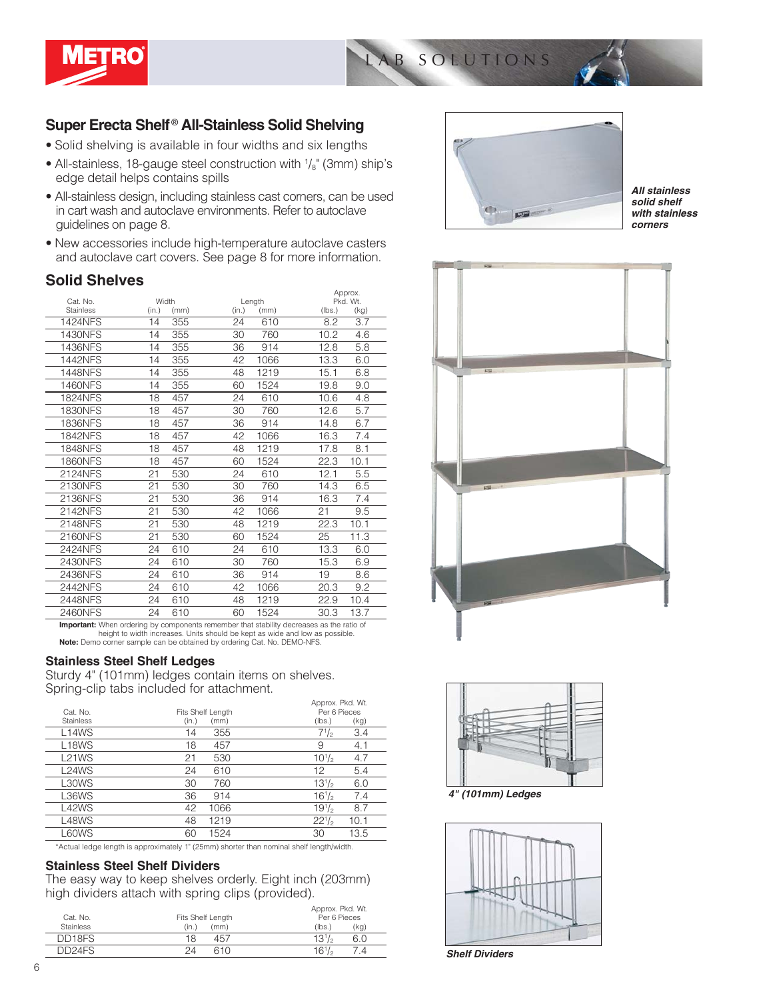

## **Super Erecta Shelf** ® **All-Stainless Solid Shelving**

- Solid shelving is available in four widths and six lengths
- All-stainless, 18-gauge steel construction with  $\frac{1}{8}$ " (3mm) ship's edge detail helps contains spills
- All-stainless design, including stainless cast corners, can be used in cart wash and autoclave environments. Refer to autoclave guidelines on page 8.
- New accessories include high-temperature autoclave casters and autoclave cart covers. See page 8 for more information.

## **Solid Shelves**

|                  |       |        | Approx.  |  |
|------------------|-------|--------|----------|--|
| Cat. No.         | Width | Length | Pkd. Wt. |  |
| <b>Stainless</b> | (in.) | (mm)   | (lbs.)   |  |
|                  | (mm)  | (in.)  | (kg)     |  |
| <b>1424NFS</b>   | 355   | 610    | 3.7      |  |
|                  | 14    | 24     | 8.2      |  |
| <b>1430NFS</b>   | 355   | 30     | 4.6      |  |
|                  | 14    | 760    | 10.2     |  |
| 1436NFS          | 14    | 914    | 5.8      |  |
|                  | 355   | 36     | 12.8     |  |
| <b>1442NFS</b>   | 14    | 42     | 13.3     |  |
|                  | 355   | 1066   | 6.0      |  |
| <b>1448NFS</b>   | 14    | 1219   | 15.1     |  |
|                  | 355   | 48     | 6.8      |  |
| <b>1460NFS</b>   | 355   | 1524   | 19.8     |  |
|                  | 14    | 60     | 9.0      |  |
| <b>1824NFS</b>   | 18    | 610    | 10.6     |  |
|                  | 457   | 24     | 4.8      |  |
| <b>1830NFS</b>   | 18    | 30     | 5.7      |  |
|                  | 457   | 760    | 12.6     |  |
| 1836NFS          | 18    | 914    | 6.7      |  |
|                  | 457   | 36     | 14.8     |  |
| <b>1842NFS</b>   | 18    | 42     | 7.4      |  |
|                  | 457   | 1066   | 16.3     |  |
| <b>1848NFS</b>   | 457   | 1219   | 8.1      |  |
|                  | 18    | 48     | 17.8     |  |
| <b>1860NFS</b>   | 457   | 60     | 10.1     |  |
|                  | 18    | 1524   | 22.3     |  |
| 2124NFS          | 21    | 610    | 12.1     |  |
|                  | 530   | 24     | 5.5      |  |
| 2130NFS          | 21    | 30     | 14.3     |  |
|                  | 530   | 760    | 6.5      |  |
| 2136NFS          | 21    | 36     | 7.4      |  |
|                  | 530   | 914    | 16.3     |  |
| 2142NFS          | 21    | 42     | 21       |  |
|                  | 530   | 1066   | 9.5      |  |
| 2148NFS          | 21    | 48     | 22.3     |  |
|                  | 530   | 1219   | 10.1     |  |
| 2160NFS          | 21    | 1524   | 25       |  |
|                  | 530   | 60     | 11.3     |  |
| <b>2424NFS</b>   | 24    | 24     | 13.3     |  |
|                  | 610   | 610    | 6.0      |  |
| 2430NFS          | 24    | 30     | 15.3     |  |
|                  | 610   | 760    | 6.9      |  |
| 2436NFS          | 24    | 914    | 19       |  |
|                  | 610   | 36     | 8.6      |  |
| 2442NFS          | 24    | 42     | 20.3     |  |
|                  | 610   | 1066   | 9.2      |  |
| 2448NFS          | 24    | 48     | 22.9     |  |
|                  | 610   | 1219   | 10.4     |  |
| 2460NFS          | 24    | 1524   | 30.3     |  |
|                  | 610   | 60     | 13.7     |  |

**Important:** When ordering by components remember that stability decreases as the ratio of height to width increases. Units should be kept as wide and low as possible. **Note:** Demo corner sample can be obtained by ordering Cat. No. DEMO-NFS.

### **Stainless Steel Shelf Ledges**

Sturdy 4" (101mm) ledges contain items on shelves. Spring-clip tabs included for attachment.

| Cat. No.                       |                                    | Approx. Pkd. Wt.<br>Per 6 Pieces |
|--------------------------------|------------------------------------|----------------------------------|
| <b>Stainless</b>               | Fits Shelf Length<br>(in.)<br>(mm) | (lbs.)<br>(kg)                   |
| L <sub>14</sub> W <sub>S</sub> | 355<br>14                          | $7^{1/2}$<br>3.4                 |
| L <sub>18</sub> W <sub>S</sub> | 18<br>457                          | 9<br>4.1                         |
| L <sub>21</sub> W <sub>S</sub> | 21<br>530                          | $10^{1/2}$<br>4.7                |
| L <sub>24</sub> W <sub>S</sub> | 24<br>610                          | 12<br>5.4                        |
| L30WS                          | 30<br>760                          | $13^{1}/_{2}$<br>6.0             |
| L36WS                          | 36<br>914                          | $16^{1/2}$<br>7.4                |
| L42WS                          | 42<br>1066                         | $19^{1/2}$<br>8.7                |
| L48WS                          | 48<br>1219                         | $22^{1/2}$<br>10.1               |
| L60WS                          | 60<br>1524                         | 30<br>13.5                       |

\*Actual ledge length is approximately 1" (25mm) shorter than nominal shelf length/width.

#### **Stainless Steel Shelf Dividers**

The easy way to keep shelves orderly. Eight inch (203mm) high dividers attach with spring clips (provided).

| Cat. No.         | Fits Shelf Length | Approx. Pkd. Wt.<br>Per 6 Pieces |
|------------------|-------------------|----------------------------------|
| <b>Stainless</b> | (mm)<br>(in.)     | (kq)<br>(lbs.)                   |
| DD18FS           | 18<br>457         | $13^{1/2}$<br>6.0                |
| DD24FS           | 610<br>24         | $16^{1/2}$<br>4.                 |



*All stainless solid shelf with stainless corners*





*4" (101mm) Ledges*



*Shelf Dividers*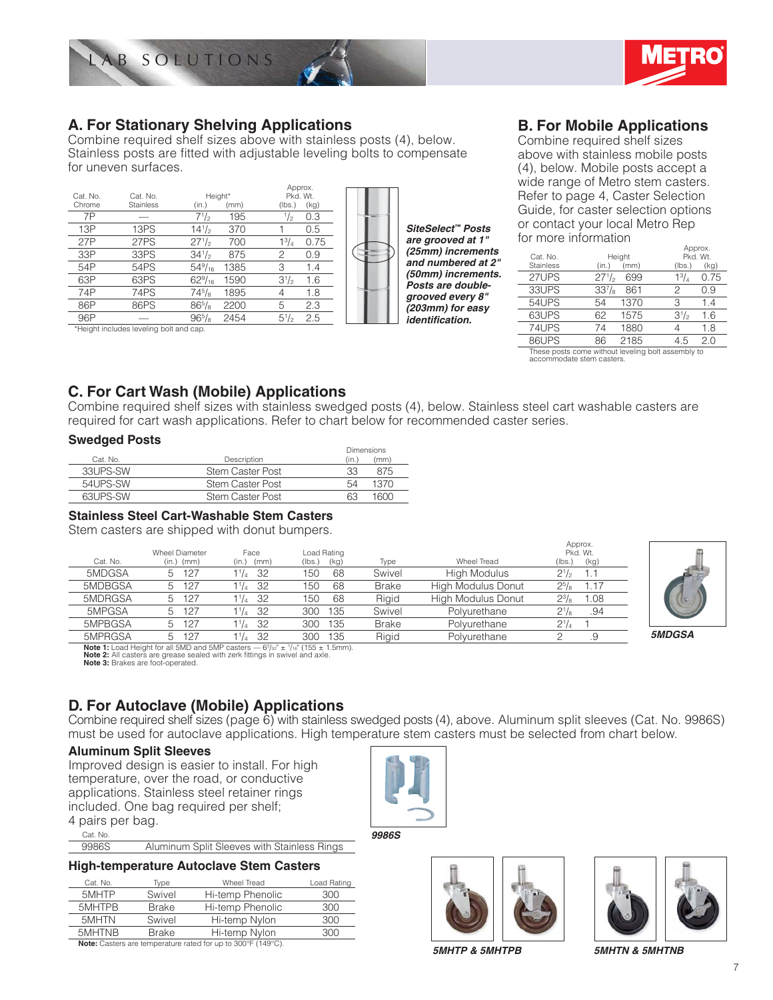



## **A. For Stationary Shelving Applications**

Combine required shelf sizes above with stainless posts (4), below. Stainless posts are fitted with adjustable leveling bolts to compensate for uneven surfaces.

|               |                  |                  |      | Approx.       |      |  |
|---------------|------------------|------------------|------|---------------|------|--|
| Cat. No.      | Cat. No.         | Height*          |      | Pkd. Wt.      |      |  |
| Chrome        | <b>Stainless</b> | (in.)            | (mm) | (lbs.)        | (kg) |  |
| 7P            |                  | $7^{1/2}$        | 195  | $\frac{1}{2}$ | 0.3  |  |
| 13P           | 13PS             | $14^{1/2}$       | 370  |               | 0.5  |  |
| 27P           | 27PS             | $27^{1/2}$       | 700  | $1^{3}/_{4}$  | 0.75 |  |
| 33P           | 33PS             | $34\frac{1}{2}$  | 875  | 2             | 0.9  |  |
| 54P           | 54PS             | $54\frac{9}{16}$ | 1385 | 3             | 1.4  |  |
| 63P           | 63PS             | $62\frac{9}{16}$ | 1590 | $3^{1/2}$     | 1.6  |  |
| 74P           | 74PS             | $74^{5}/_{8}$    | 1895 | 4             | 1.8  |  |
| 86P           | 86PS             | $86^{5}/_{8}$    | 2200 | 5             | 2.3  |  |
| 96P           |                  | $96^{5}/_{8}$    | 2454 | $5^{1}/_{2}$  | 2.5  |  |
| .<br><b>A</b> | <br>14.41        |                  |      |               |      |  |

\*Height includes leveling bolt and cap.

*SiteSelect™ Posts are grooved at 1" (25mm) increments and numbered at 2" (50mm) increments. Posts are doublegrooved every 8" (203mm) for easy identifi cation.*

## **B. For Mobile Applications**

Combine required shelf sizes above with stainless mobile posts (4), below. Mobile posts accept a wide range of Metro stem casters. Refer to page 4, Caster Selection Guide, for caster selection options or contact your local Metro Rep for more information

| Cat. No.                                           |               | Height |              | Approx.<br>Pkd. Wt. |
|----------------------------------------------------|---------------|--------|--------------|---------------------|
| <b>Stainless</b>                                   | (in.)         | (mm)   | (lbs.)       | (kq)                |
| 27UPS                                              | $27^{1/2}$    | 699    | $1^{3}/_{4}$ | 0.75                |
| 33UPS                                              | $33^{7}/_{8}$ | 861    | 2            | 0.9                 |
| 54UPS                                              | 54            | 1370   | З            | 1.4                 |
| 63UPS                                              | 62            | 1575   | $3^{1/2}$    | 1.6                 |
| 74UPS                                              | 74            | 1880   |              | 1.8                 |
| 86UPS                                              | 86            | 2185   | 4.5          | 2.0                 |
| These nosts come without leveling holt assembly to |               |        |              |                     |

These posts come without leveling bolt assembly to accommodate stem casters.

## **C. For Cart Wash (Mobile) Applications**

Combine required shelf sizes with stainless swedged posts (4), below. Stainless steel cart washable casters are required for cart wash applications. Refer to chart below for recommended caster series.

### **Swedged Posts**

|           |                  | <b>Dimensions</b> |
|-----------|------------------|-------------------|
| Cat. No.  | Description      | (mm)<br>(in.,     |
| 33 JPS-SW | Stem Caster Post | 875<br>33         |
| 54UPS-SW  | Stem Caster Post | 1370<br>54        |
| 63UPS-SW  | Stem Caster Post | 1600<br>63        |

### **Stainless Steel Cart-Washable Stem Casters**

Stem casters are shipped with donut bumpers.

|                                                                                                                                                                                                                       | <b>Wheel Diameter</b> | Face               | Load Rating    |              |                           | Approx.<br>Pkd. Wt. |               |
|-----------------------------------------------------------------------------------------------------------------------------------------------------------------------------------------------------------------------|-----------------------|--------------------|----------------|--------------|---------------------------|---------------------|---------------|
| Cat. No.                                                                                                                                                                                                              | (in.)<br>(mm)         | (in.)<br>(mm)      | (lbs.)<br>(kg) | Type         | Wheel Tread               | (kg)<br>(lbs.)      |               |
| 5MDGSA                                                                                                                                                                                                                | 127<br>b.             | $1^{1}/_{4}$<br>32 | 150<br>68      | Swivel       | High Modulus              | $2^{1/2}$<br>1.1    |               |
| 5MDBGSA                                                                                                                                                                                                               | 127<br>5              | 32<br>$1^{1}/_{4}$ | 50<br>68       | <b>Brake</b> | High Modulus Donut        | .17<br>$2^{5}/8$    |               |
| 5MDRGSA                                                                                                                                                                                                               | 127<br>5              | 32<br>$1^{1}/_{4}$ | 150<br>68      | Rigid        | <b>High Modulus Donut</b> | $2^{3}/8$<br>.08    |               |
| 5MPGSA                                                                                                                                                                                                                | 127<br>5              | 32<br>$1^{1/2}$    | 135<br>300     | Swivel       | Polyurethane              | $2^{1}/8$<br>.94    |               |
| 5MPBGSA                                                                                                                                                                                                               | 127<br>5              | 32<br>$1^{1}/_{4}$ | 135<br>300     | <b>Brake</b> | Polyurethane              | $2^{1/4}$           |               |
| 5MPRGSA                                                                                                                                                                                                               | 127<br>5              | 32<br>$11_{4}$     | 135<br>300     | Rigid        | Polvurethane              | .9                  | <b>5MDGSA</b> |
| <b>Note 1:</b> Load Height for all 5MD and 5MP casters $-6^3/32^6 \pm 1/16^6$ (155 $\pm$ 1.5mm).<br>Note 2: All casters are grease sealed with zerk fittings in swivel and axle.<br>Note 3: Brakes are foot-operated. |                       |                    |                |              |                           |                     |               |



## **D. For Autoclave (Mobile) Applications**

Combine required shelf sizes (page 6) with stainless swedged posts (4), above. Aluminum split sleeves (Cat. No. 9986S) must be used for autoclave applications. High temperature stem casters must be selected from chart below.

#### **Aluminum Split Sleeves**

Improved design is easier to install. For high temperature, over the road, or conductive applications. Stainless steel retainer rings included. One bag required per shelf;

4 pairs per bag. Cat. No.

| 9986S |  |  | Aluminum Split Sleeves with Stainless Rings |  |
|-------|--|--|---------------------------------------------|--|

#### **High-temperature Autoclave Stem Casters**

| Cat. No. | Type         | Wheel Tread                                                                                               | Load Rating |
|----------|--------------|-----------------------------------------------------------------------------------------------------------|-------------|
| 5MHTP    | Swivel       | Hi-temp Phenolic                                                                                          | 300         |
| 5MHTPB   | <b>Brake</b> | Hi-temp Phenolic                                                                                          | 300         |
| 5MHTN    | Swivel       | Hi-temp Nylon                                                                                             | 300         |
| 5MHTNB   | <b>Brake</b> | Hi-temp Nylon                                                                                             | 300         |
|          |              | $M_{\text{max}}$ $\Omega_{\text{max}}$ is the contract of $L_{\text{max}}$ is a contract $M_{\text{max}}$ |             |

**Note:** Casters are temperature rated for up to 300°F (149°C).



*9986S*





*5MHTP & 5MHTPB*

*5MHTN & 5MHTNB*